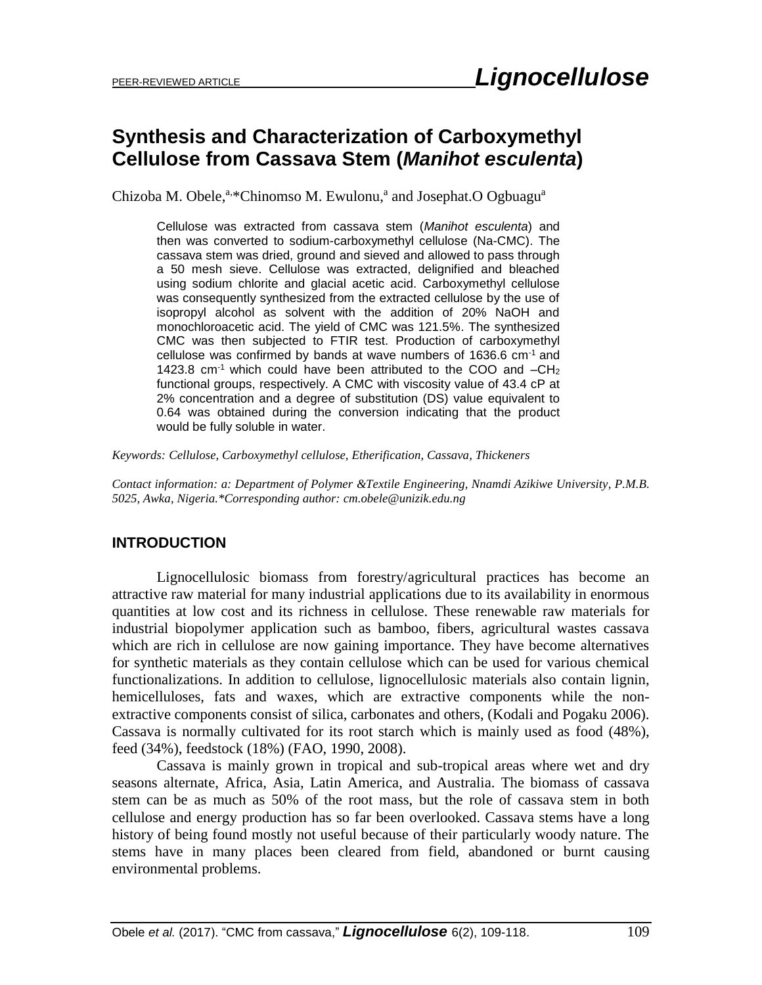# **Synthesis and Characterization of Carboxymethyl Cellulose from Cassava Stem (***Manihot esculenta***)**

Chizoba M. Obele,<sup>a,\*</sup>Chinomso M. Ewulonu,<sup>a</sup> and Josephat.O Ogbuagu<sup>a</sup>

Cellulose was extracted from cassava stem (*Manihot esculenta*) and then was converted to sodium-carboxymethyl cellulose (Na-CMC). The cassava stem was dried, ground and sieved and allowed to pass through a 50 mesh sieve. Cellulose was extracted, delignified and bleached using sodium chlorite and glacial acetic acid. Carboxymethyl cellulose was consequently synthesized from the extracted cellulose by the use of isopropyl alcohol as solvent with the addition of 20% NaOH and monochloroacetic acid. The yield of CMC was 121.5%. The synthesized CMC was then subjected to FTIR test. Production of carboxymethyl cellulose was confirmed by bands at wave numbers of 1636.6 cm-1 and 1423.8  $cm<sup>-1</sup>$  which could have been attributed to the COO and  $-CH<sub>2</sub>$ functional groups, respectively. A CMC with viscosity value of 43.4 cP at 2% concentration and a degree of substitution (DS) value equivalent to 0.64 was obtained during the conversion indicating that the product would be fully soluble in water.

*Keywords: Cellulose, Carboxymethyl cellulose, Etherification, Cassava, Thickeners*

*Contact information: a: Department of Polymer &Textile Engineering, Nnamdi Azikiwe University, P.M.B. 5025, Awka, Nigeria.\*Corresponding author: [cm.obele@unizik.edu.ng](mailto:cm.obele@unizik.edu.ng)*

## **INTRODUCTION**

Lignocellulosic biomass from forestry/agricultural practices has become an attractive raw material for many industrial applications due to its availability in enormous quantities at low cost and its richness in cellulose. These renewable raw materials for industrial biopolymer application such as bamboo, fibers, agricultural wastes cassava which are rich in cellulose are now gaining importance. They have become alternatives for synthetic materials as they contain cellulose which can be used for various chemical functionalizations. In addition to cellulose, lignocellulosic materials also contain lignin, hemicelluloses, fats and waxes, which are extractive components while the nonextractive components consist of silica, carbonates and others, (Kodali and Pogaku 2006). Cassava is normally cultivated for its root starch which is mainly used as food (48%), feed (34%), feedstock (18%) (FAO, 1990, 2008).

Cassava is mainly grown in tropical and sub-tropical areas where wet and dry seasons alternate, Africa, Asia, Latin America, and Australia. The biomass of cassava stem can be as much as 50% of the root mass, but the role of cassava stem in both cellulose and energy production has so far been overlooked. Cassava stems have a long history of being found mostly not useful because of their particularly woody nature. The stems have in many places been cleared from field, abandoned or burnt causing environmental problems.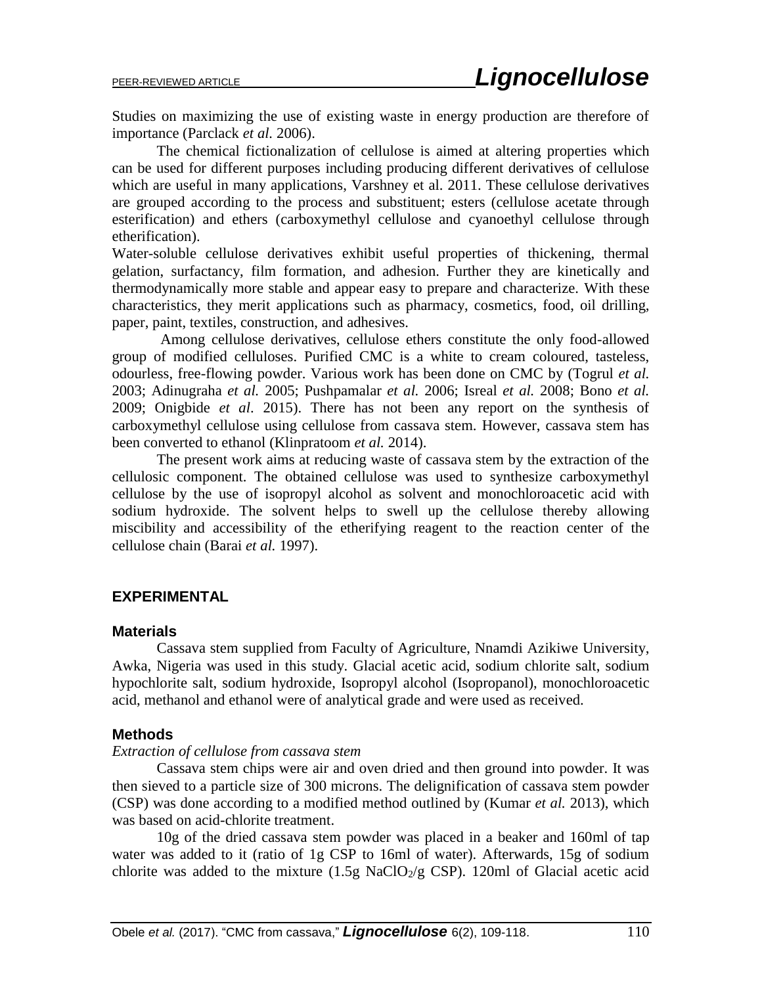Studies on maximizing the use of existing waste in energy production are therefore of importance (Parclack *et al.* 2006).

The chemical fictionalization of cellulose is aimed at altering properties which can be used for different purposes including producing different derivatives of cellulose which are useful in many applications, Varshney et al. 2011. These cellulose derivatives are grouped according to the process and substituent; esters (cellulose acetate through esterification) and ethers (carboxymethyl cellulose and cyanoethyl cellulose through etherification).

Water-soluble cellulose derivatives exhibit useful properties of thickening, thermal gelation, surfactancy, film formation, and adhesion. Further they are kinetically and thermodynamically more stable and appear easy to prepare and characterize. With these characteristics, they merit applications such as pharmacy, cosmetics, food, oil drilling, paper, paint, textiles, construction, and adhesives.

Among cellulose derivatives, cellulose ethers constitute the only food-allowed group of modified celluloses. Purified CMC is a white to cream coloured, tasteless, odourless, free-flowing powder. Various work has been done on CMC by (Togrul *et al.* 2003; Adinugraha *et al.* 2005; Pushpamalar *et al.* 2006; Isreal *et al.* 2008; Bono *et al.* 2009; Onigbide *et al*. 2015). There has not been any report on the synthesis of carboxymethyl cellulose using cellulose from cassava stem. However, cassava stem has been converted to ethanol (Klinpratoom *et al.* 2014).

The present work aims at reducing waste of cassava stem by the extraction of the cellulosic component. The obtained cellulose was used to synthesize carboxymethyl cellulose by the use of isopropyl alcohol as solvent and monochloroacetic acid with sodium hydroxide. The solvent helps to swell up the cellulose thereby allowing miscibility and accessibility of the etherifying reagent to the reaction center of the cellulose chain (Barai *et al.* 1997).

#### **EXPERIMENTAL**

#### **Materials**

Cassava stem supplied from Faculty of Agriculture, Nnamdi Azikiwe University, Awka, Nigeria was used in this study. Glacial acetic acid, sodium chlorite salt, sodium hypochlorite salt, sodium hydroxide, Isopropyl alcohol (Isopropanol), monochloroacetic acid, methanol and ethanol were of analytical grade and were used as received.

#### **Methods**

#### *Extraction of cellulose from cassava stem*

Cassava stem chips were air and oven dried and then ground into powder. It was then sieved to a particle size of 300 microns. The delignification of cassava stem powder (CSP) was done according to a modified method outlined by (Kumar *et al.* 2013), which was based on acid-chlorite treatment.

10g of the dried cassava stem powder was placed in a beaker and 160ml of tap water was added to it (ratio of 1g CSP to 16ml of water). Afterwards, 15g of sodium chlorite was added to the mixture  $(1.5g \text{ NaClO}_2/g \text{ CSP})$ . 120ml of Glacial acetic acid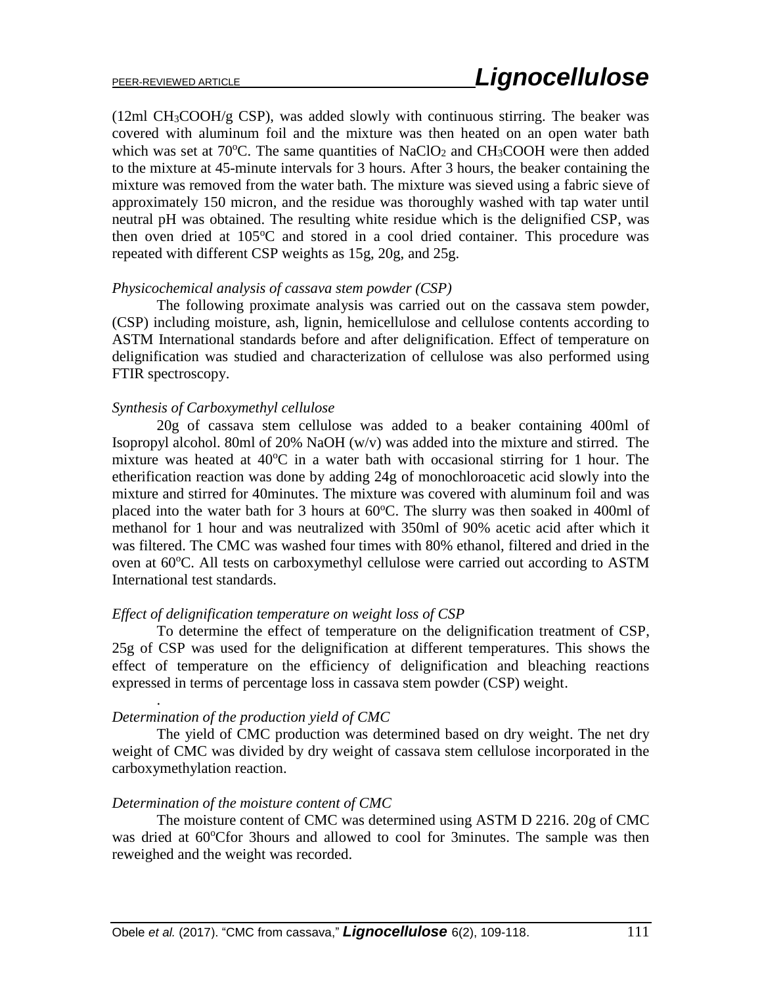(12ml CH3COOH/g CSP), was added slowly with continuous stirring. The beaker was covered with aluminum foil and the mixture was then heated on an open water bath which was set at  $70^{\circ}$ C. The same quantities of NaClO<sub>2</sub> and CH<sub>3</sub>COOH were then added to the mixture at 45-minute intervals for 3 hours. After 3 hours, the beaker containing the mixture was removed from the water bath. The mixture was sieved using a fabric sieve of approximately 150 micron, and the residue was thoroughly washed with tap water until neutral pH was obtained. The resulting white residue which is the delignified CSP, was then oven dried at  $105^{\circ}$ C and stored in a cool dried container. This procedure was repeated with different CSP weights as 15g, 20g, and 25g.

#### *Physicochemical analysis of cassava stem powder (CSP)*

The following proximate analysis was carried out on the cassava stem powder, (CSP) including moisture, ash, lignin, hemicellulose and cellulose contents according to ASTM International standards before and after delignification. Effect of temperature on delignification was studied and characterization of cellulose was also performed using FTIR spectroscopy.

#### *Synthesis of Carboxymethyl cellulose*

20g of cassava stem cellulose was added to a beaker containing 400ml of Isopropyl alcohol. 80ml of 20% NaOH (w/v) was added into the mixture and stirred. The mixture was heated at  $40^{\circ}$ C in a water bath with occasional stirring for 1 hour. The etherification reaction was done by adding 24g of monochloroacetic acid slowly into the mixture and stirred for 40minutes. The mixture was covered with aluminum foil and was placed into the water bath for 3 hours at  $60^{\circ}$ C. The slurry was then soaked in 400ml of methanol for 1 hour and was neutralized with 350ml of 90% acetic acid after which it was filtered. The CMC was washed four times with 80% ethanol, filtered and dried in the oven at 60 °C. All tests on carboxymethyl cellulose were carried out according to ASTM International test standards.

#### *Effect of delignification temperature on weight loss of CSP*

To determine the effect of temperature on the delignification treatment of CSP, 25g of CSP was used for the delignification at different temperatures. This shows the effect of temperature on the efficiency of delignification and bleaching reactions expressed in terms of percentage loss in cassava stem powder (CSP) weight.

#### *Determination of the production yield of CMC*

.

The yield of CMC production was determined based on dry weight. The net dry weight of CMC was divided by dry weight of cassava stem cellulose incorporated in the carboxymethylation reaction.

#### *Determination of the moisture content of CMC*

The moisture content of CMC was determined using ASTM D 2216. 20g of CMC was dried at 60°Cfor 3hours and allowed to cool for 3minutes. The sample was then reweighed and the weight was recorded.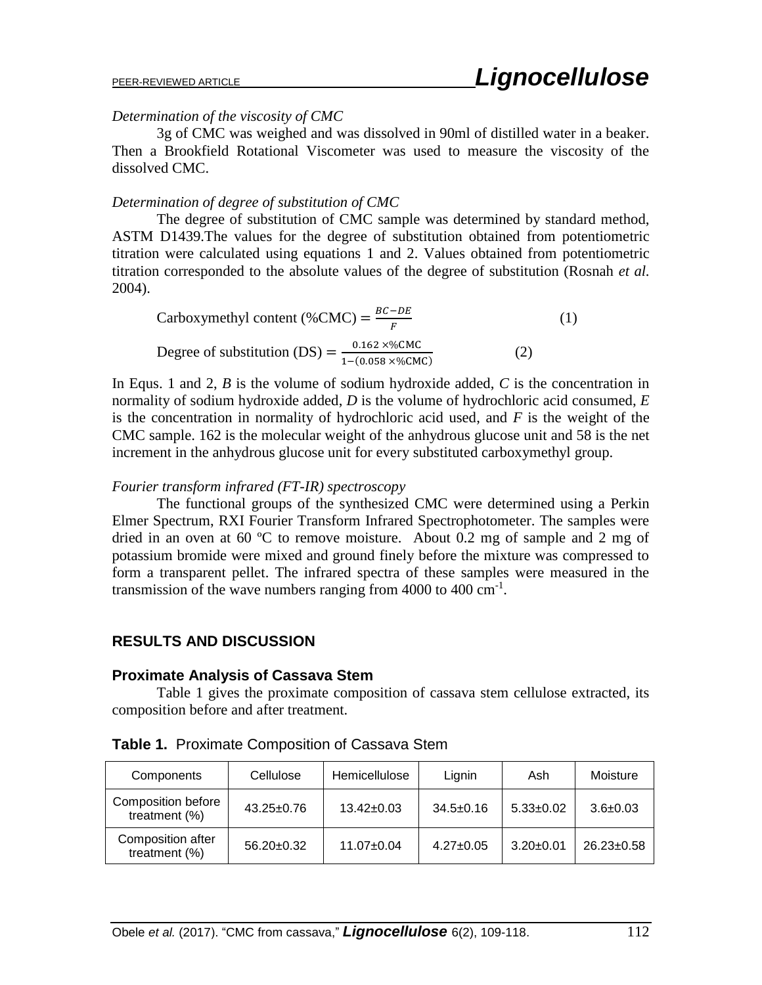#### *Determination of the viscosity of CMC*

3g of CMC was weighed and was dissolved in 90ml of distilled water in a beaker. Then a Brookfield Rotational Viscometer was used to measure the viscosity of the dissolved CMC.

#### *Determination of degree of substitution of CMC*

The degree of substitution of CMC sample was determined by standard method, ASTM D1439.The values for the degree of substitution obtained from potentiometric titration were calculated using equations 1 and 2. Values obtained from potentiometric titration corresponded to the absolute values of the degree of substitution (Rosnah *et al.* 2004).

Carboxymethyl content (%CMC) =  $\frac{BC - DE}{F}$ F (1) Degree of substitution (DS) = 0.162 ×%CMC 1−(0.058 ×%CMC) (2)

In Equs. 1 and 2, *B* is the volume of sodium hydroxide added, *C* is the concentration in normality of sodium hydroxide added, *D* is the volume of hydrochloric acid consumed, *E* is the concentration in normality of hydrochloric acid used, and *F* is the weight of the CMC sample. 162 is the molecular weight of the anhydrous glucose unit and 58 is the net increment in the anhydrous glucose unit for every substituted carboxymethyl group.

#### *Fourier transform infrared (FT-IR) spectroscopy*

The functional groups of the synthesized CMC were determined using a Perkin Elmer Spectrum, RXI Fourier Transform Infrared Spectrophotometer. The samples were dried in an oven at 60 ºC to remove moisture. About 0.2 mg of sample and 2 mg of potassium bromide were mixed and ground finely before the mixture was compressed to form a transparent pellet. The infrared spectra of these samples were measured in the transmission of the wave numbers ranging from  $4000$  to  $400 \text{ cm}^{-1}$ .

## **RESULTS AND DISCUSSION**

#### **Proximate Analysis of Cassava Stem**

Table 1 gives the proximate composition of cassava stem cellulose extracted, its composition before and after treatment.

| Components                                    | Cellulose        | Hemicellulose    | Lignin          | Ash             | Moisture         |  |
|-----------------------------------------------|------------------|------------------|-----------------|-----------------|------------------|--|
| <b>Composition before</b><br>treatment $(\%)$ | $43.25 \pm 0.76$ | $13.42 \pm 0.03$ | $34.5 \pm 0.16$ | $5.33 \pm 0.02$ | $3.6 \pm 0.03$   |  |
| Composition after<br>treatment $(\%)$         | $56.20 \pm 0.32$ | $11.07 \pm 0.04$ | $4.27 \pm 0.05$ | $3.20 \pm 0.01$ | $26.23 \pm 0.58$ |  |

**Table 1.** Proximate Composition of Cassava Stem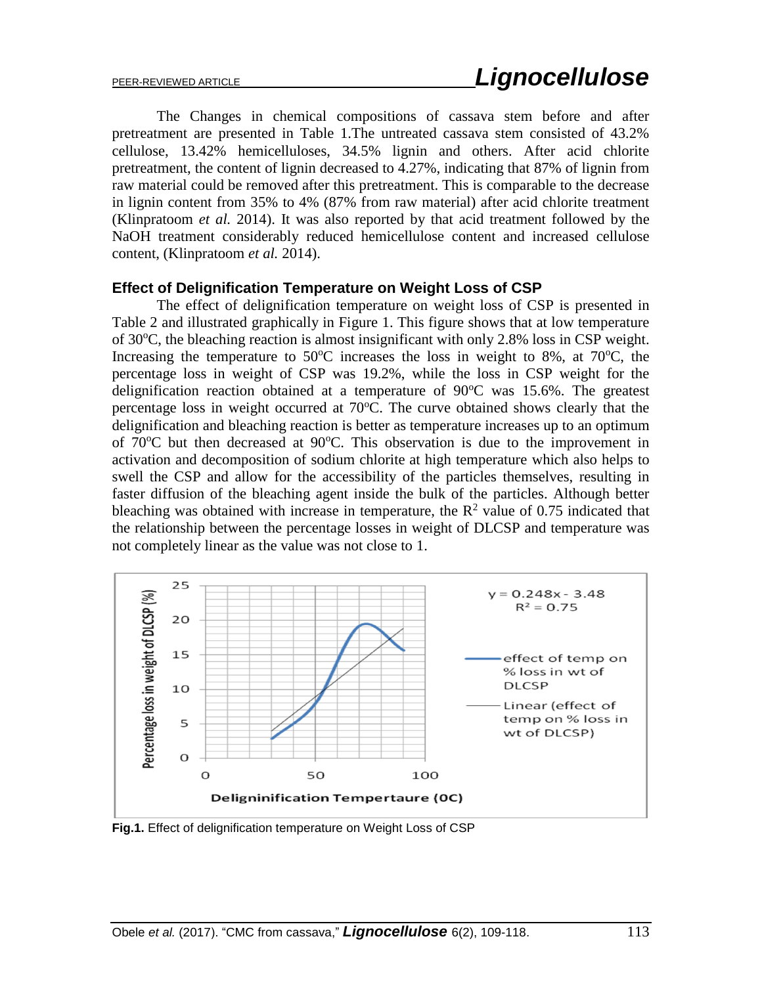The Changes in chemical compositions of cassava stem before and after pretreatment are presented in Table 1.The untreated cassava stem consisted of 43.2% cellulose, 13.42% hemicelluloses, 34.5% lignin and others. After acid chlorite pretreatment, the content of lignin decreased to 4.27%, indicating that 87% of lignin from raw material could be removed after this pretreatment. This is comparable to the decrease in lignin content from 35% to 4% (87% from raw material) after acid chlorite treatment (Klinpratoom *et al.* 2014). It was also reported by that acid treatment followed by the NaOH treatment considerably reduced hemicellulose content and increased cellulose content, (Klinpratoom *et al.* 2014).

#### **Effect of Delignification Temperature on Weight Loss of CSP**

The effect of delignification temperature on weight loss of CSP is presented in Table 2 and illustrated graphically in Figure 1. This figure shows that at low temperature of 30°C, the bleaching reaction is almost insignificant with only 2.8% loss in CSP weight. Increasing the temperature to 50 $\degree$ C increases the loss in weight to 8%, at 70 $\degree$ C, the percentage loss in weight of CSP was 19.2%, while the loss in CSP weight for the delignification reaction obtained at a temperature of  $90^{\circ}$ C was 15.6%. The greatest percentage loss in weight occurred at  $70^{\circ}$ C. The curve obtained shows clearly that the delignification and bleaching reaction is better as temperature increases up to an optimum of  $70^{\circ}$ C but then decreased at  $90^{\circ}$ C. This observation is due to the improvement in activation and decomposition of sodium chlorite at high temperature which also helps to swell the CSP and allow for the accessibility of the particles themselves, resulting in faster diffusion of the bleaching agent inside the bulk of the particles. Although better bleaching was obtained with increase in temperature, the  $\mathbb{R}^2$  value of 0.75 indicated that the relationship between the percentage losses in weight of DLCSP and temperature was not completely linear as the value was not close to 1.



**Fig.1.** Effect of delignification temperature on Weight Loss of CSP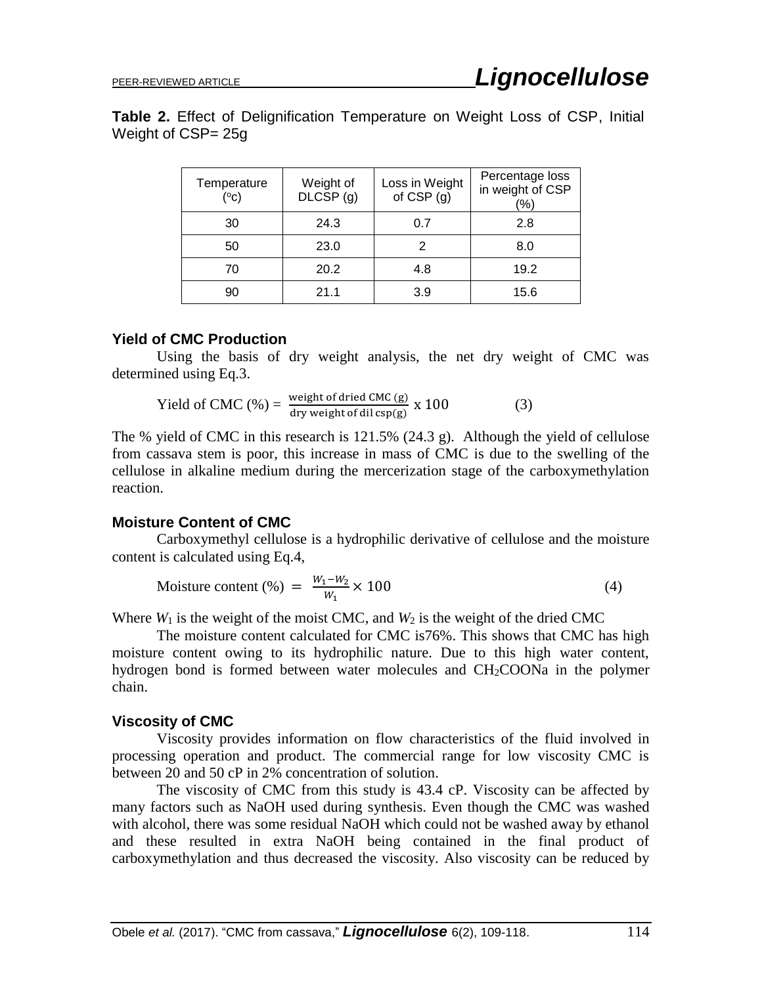**Table 2.** Effect of Delignification Temperature on Weight Loss of CSP, Initial Weight of CSP= 25g

| Temperature<br>(°c) | Weight of<br>DLCSP (g) | Loss in Weight<br>of $CSP(q)$ | Percentage loss<br>in weight of CSP<br>$\frac{1}{2}$ |  |  |
|---------------------|------------------------|-------------------------------|------------------------------------------------------|--|--|
| 30                  | 24.3                   | 0.7                           | 2.8                                                  |  |  |
| 50                  | 23.0                   |                               | 8.0                                                  |  |  |
| 70                  | 20.2                   | 4.8                           | 19.2                                                 |  |  |
| 90                  | 21.1                   | 3.9                           | 15.6                                                 |  |  |

#### **Yield of CMC Production**

Using the basis of dry weight analysis, the net dry weight of CMC was determined using Eq.3.

Yield of CMC (%) = 
$$
\frac{\text{weight of dried CMC (g)}}{\text{dry weight of dil csp(g)}} \times 100
$$
 (3)

The % yield of CMC in this research is 121.5% (24.3 g). Although the yield of cellulose from cassava stem is poor, this increase in mass of CMC is due to the swelling of the cellulose in alkaline medium during the mercerization stage of the carboxymethylation reaction.

#### **Moisture Content of CMC**

Carboxymethyl cellulose is a hydrophilic derivative of cellulose and the moisture content is calculated using Eq.4,

$$
Moisture content (\%) = \frac{W_1 - W_2}{W_1} \times 100 \tag{4}
$$

Where  $W_1$  is the weight of the moist CMC, and  $W_2$  is the weight of the dried CMC

The moisture content calculated for CMC is76%. This shows that CMC has high moisture content owing to its hydrophilic nature. Due to this high water content, hydrogen bond is formed between water molecules and CH2COONa in the polymer chain.

#### **Viscosity of CMC**

Viscosity provides information on flow characteristics of the fluid involved in processing operation and product. The commercial range for low viscosity CMC is between 20 and 50 cP in 2% concentration of solution.

The viscosity of CMC from this study is 43.4 cP. Viscosity can be affected by many factors such as NaOH used during synthesis. Even though the CMC was washed with alcohol, there was some residual NaOH which could not be washed away by ethanol and these resulted in extra NaOH being contained in the final product of carboxymethylation and thus decreased the viscosity. Also viscosity can be reduced by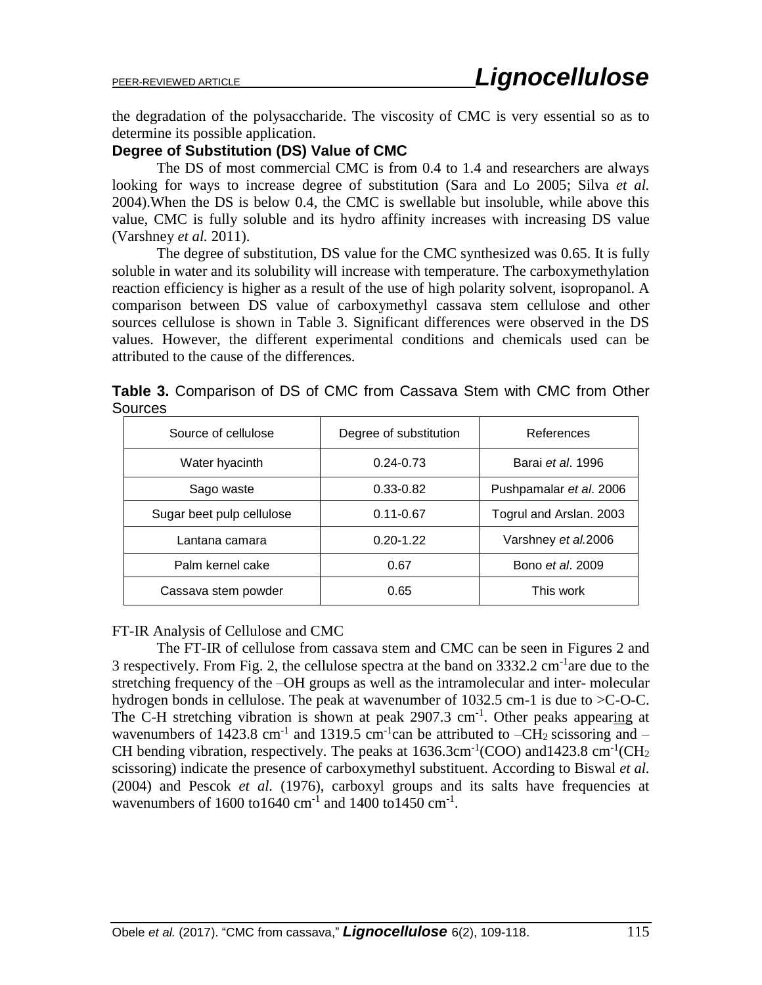the degradation of the polysaccharide. The viscosity of CMC is very essential so as to determine its possible application.

# **Degree of Substitution (DS) Value of CMC**

The DS of most commercial CMC is from 0.4 to 1.4 and researchers are always looking for ways to increase degree of substitution (Sara and Lo 2005; Silva *et al.* 2004).When the DS is below 0.4, the CMC is swellable but insoluble, while above this value, CMC is fully soluble and its hydro affinity increases with increasing DS value (Varshney *et al.* 2011).

The degree of substitution, DS value for the CMC synthesized was 0.65. It is fully soluble in water and its solubility will increase with temperature. The carboxymethylation reaction efficiency is higher as a result of the use of high polarity solvent, isopropanol. A comparison between DS value of carboxymethyl cassava stem cellulose and other sources cellulose is shown in Table 3. Significant differences were observed in the DS values. However, the different experimental conditions and chemicals used can be attributed to the cause of the differences.

|                | Table 3. Comparison of DS of CMC from Cassava Stem with CMC from Other |  |  |  |  |  |
|----------------|------------------------------------------------------------------------|--|--|--|--|--|
| <b>Sources</b> |                                                                        |  |  |  |  |  |

| Source of cellulose       | Degree of substitution | References              |  |  |
|---------------------------|------------------------|-------------------------|--|--|
| Water hyacinth            | $0.24 - 0.73$          | Barai et al. 1996       |  |  |
| Sago waste                | $0.33 - 0.82$          | Pushpamalar et al. 2006 |  |  |
| Sugar beet pulp cellulose | $0.11 - 0.67$          | Togrul and Arslan. 2003 |  |  |
| Lantana camara            | $0.20 - 1.22$          | Varshney et al.2006     |  |  |
| Palm kernel cake          | 0.67                   | Bono <i>et al.</i> 2009 |  |  |
| Cassava stem powder       | 0.65                   | This work               |  |  |

#### FT-IR Analysis of Cellulose and CMC

The FT-IR of cellulose from cassava stem and CMC can be seen in Figures 2 and 3 respectively. From Fig. 2, the cellulose spectra at the band on  $3332.2 \text{ cm}^{-1}$  are due to the stretching frequency of the –OH groups as well as the intramolecular and inter- molecular hydrogen bonds in cellulose. The peak at wavenumber of 1032.5 cm-1 is due to  $\geq$ C-O-C. The C-H stretching vibration is shown at peak 2907.3 cm<sup>-1</sup>. Other peaks appearing at wavenumbers of 1423.8 cm<sup>-1</sup> and 1319.5 cm<sup>-1</sup> can be attributed to  $-CH_2$  scissoring and  $-$ CH bending vibration, respectively. The peaks at  $1636.3 \text{cm}^{-1}(\text{COO})$  and  $1423.8 \text{ cm}^{-1}(\text{CH}_2)$ scissoring) indicate the presence of carboxymethyl substituent. According to Biswal *et al.* (2004) and Pescok *et al.* (1976), carboxyl groups and its salts have frequencies at wavenumbers of  $1600 \text{ to } 1640 \text{ cm}^{-1}$  and  $1400 \text{ to } 1450 \text{ cm}^{-1}$ .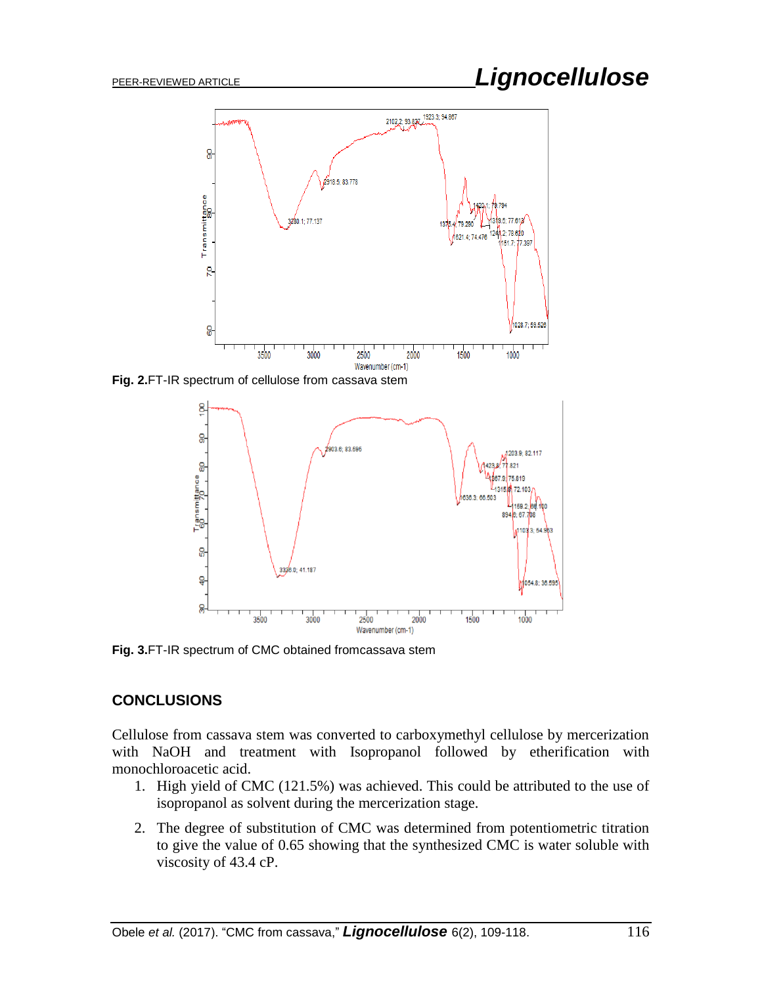# PEER-REVIEWED ARTICLE *Lignocellulose*



**Fig. 2.**FT-IR spectrum of cellulose from cassava stem



**Fig. 3.**FT-IR spectrum of CMC obtained fromcassava stem

# **CONCLUSIONS**

Cellulose from cassava stem was converted to carboxymethyl cellulose by mercerization with NaOH and treatment with Isopropanol followed by etherification with monochloroacetic acid.

- 1. High yield of CMC (121.5%) was achieved. This could be attributed to the use of isopropanol as solvent during the mercerization stage.
- 2. The degree of substitution of CMC was determined from potentiometric titration to give the value of 0.65 showing that the synthesized CMC is water soluble with viscosity of 43.4 cP.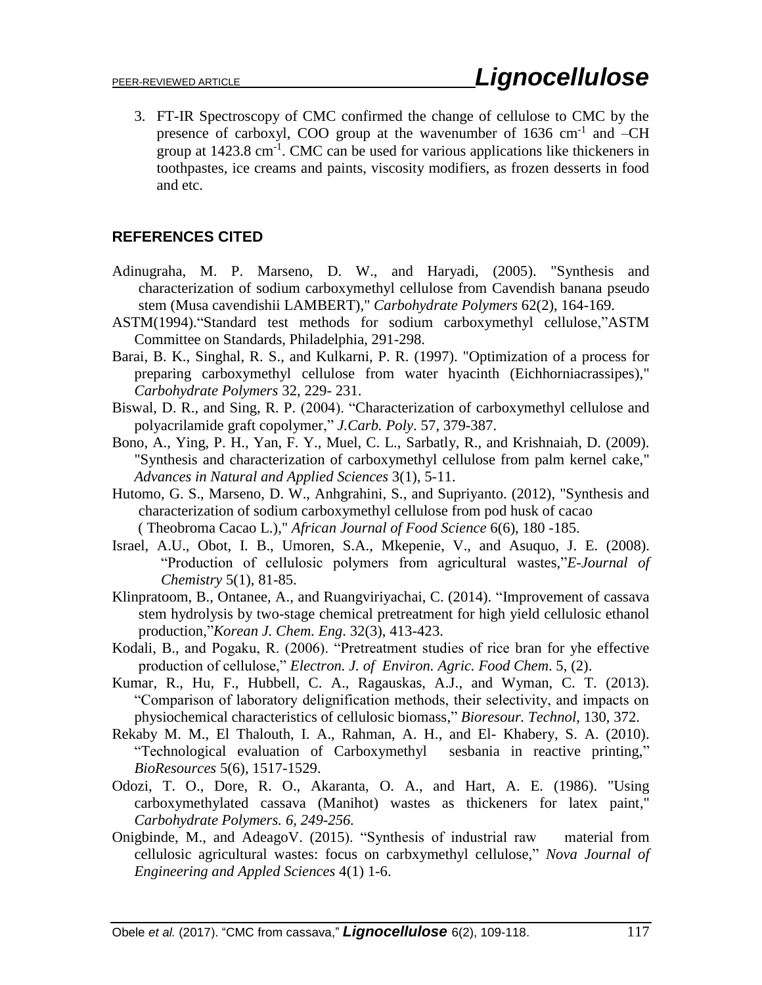3. FT-IR Spectroscopy of CMC confirmed the change of cellulose to CMC by the presence of carboxyl, COO group at the wavenumber of 1636 cm<sup>-1</sup> and -CH group at 1423.8 cm<sup>-1</sup>. CMC can be used for various applications like thickeners in toothpastes, ice creams and paints, viscosity modifiers, as frozen desserts in food and etc.

# **REFERENCES CITED**

- Adinugraha, M. P. Marseno, D. W., and Haryadi, (2005). "Synthesis and characterization of sodium carboxymethyl cellulose from Cavendish banana pseudo stem (Musa cavendishii LAMBERT)," *Carbohydrate Polymers* 62(2), 164-169.
- ASTM(1994)."Standard test methods for sodium carboxymethyl cellulose,"ASTM Committee on Standards, Philadelphia, 291-298.
- Barai, B. K., Singhal, R. S., and Kulkarni, P. R. (1997). "Optimization of a process for preparing carboxymethyl cellulose from water hyacinth (Eichhorniacrassipes)," *Carbohydrate Polymers* 32, 229- 231.
- Biswal, D. R., and Sing, R. P. (2004). "Characterization of carboxymethyl cellulose and polyacrilamide graft copolymer," *J.Carb. Poly*. 57, 379-387.
- Bono, A., Ying, P. H., Yan, F. Y., Muel, C. L., Sarbatly, R., and Krishnaiah, D. (2009). "Synthesis and characterization of carboxymethyl cellulose from palm kernel cake," *Advances in Natural and Applied Sciences* 3(1), 5-11.
- Hutomo, G. S., Marseno, D. W., Anhgrahini, S., and Supriyanto. (2012), "Synthesis and characterization of sodium carboxymethyl cellulose from pod husk of cacao ( Theobroma Cacao L.)," *African Journal of Food Science* 6(6), 180 -185.
- Israel, A.U., Obot, I. B., Umoren, S.A., Mkepenie, V., and Asuquo, J. E. (2008). "Production of cellulosic polymers from agricultural wastes,"*E-Journal of Chemistry* 5(1), 81-85.
- Klinpratoom, B., Ontanee, A., and Ruangviriyachai, C. (2014). "Improvement of cassava stem hydrolysis by two-stage chemical pretreatment for high yield cellulosic ethanol production,"*Korean J. Chem. Eng*. 32(3), 413-423.
- Kodali, B., and Pogaku, R. (2006). "Pretreatment studies of rice bran for yhe effective production of cellulose," *Electron. J. of Environ. Agric. Food Chem*. 5, (2).
- Kumar, R., Hu, F., Hubbell, C. A., Ragauskas, A.J., and Wyman, C. T. (2013). "Comparison of laboratory delignification methods, their selectivity, and impacts on physiochemical characteristics of cellulosic biomass," *Bioresour. Technol*, 130, 372.
- Rekaby M. M., El Thalouth, I. A., Rahman, A. H., and El- Khabery, S. A. (2010). "Technological evaluation of Carboxymethyl sesbania in reactive printing," *BioResources* 5(6), 1517-1529.
- Odozi, T. O., Dore, R. O., Akaranta, O. A., and Hart, A. E. (1986). "Using carboxymethylated cassava (Manihot) wastes as thickeners for latex paint," *Carbohydrate Polymers. 6, 249-256.*
- Onigbinde, M., and AdeagoV. (2015). "Synthesis of industrial raw material from cellulosic agricultural wastes: focus on carbxymethyl cellulose," *Nova Journal of Engineering and Appled Sciences* 4(1) 1-6.